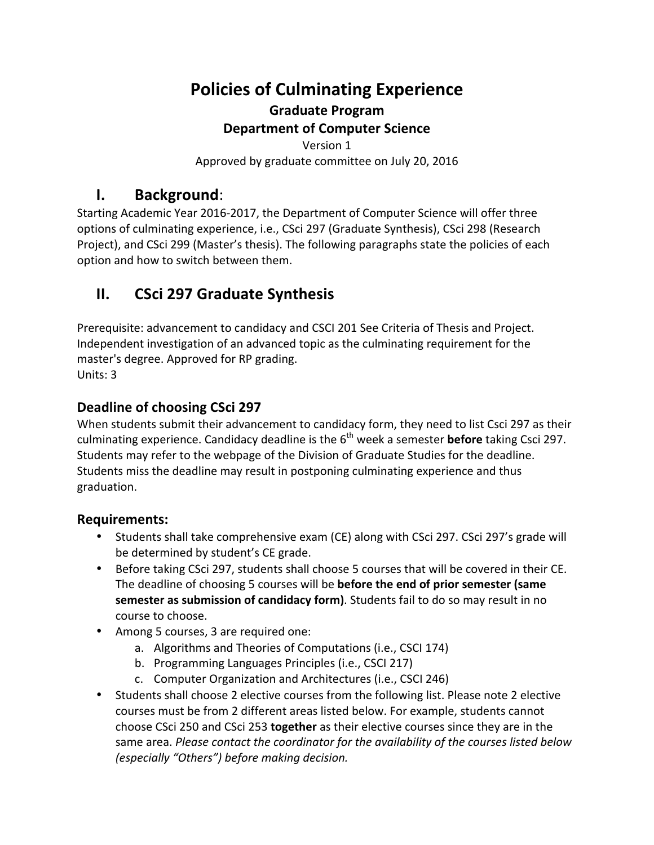# **Policies of Culminating Experience Graduate Program Department of Computer Science**

Version 1 Approved by graduate committee on July 20, 2016

## **I. Background**:

Starting Academic Year 2016-2017, the Department of Computer Science will offer three options of culminating experience, i.e., CSci 297 (Graduate Synthesis), CSci 298 (Research Project), and CSci 299 (Master's thesis). The following paragraphs state the policies of each option and how to switch between them.

## **II. CSci 297 Graduate Synthesis**

Prerequisite: advancement to candidacy and CSCI 201 See Criteria of Thesis and Project. Independent investigation of an advanced topic as the culminating requirement for the master's degree. Approved for RP grading. Units: 3

### **Deadline of choosing CSci 297**

When students submit their advancement to candidacy form, they need to list Csci 297 as their culminating experience. Candidacy deadline is the 6<sup>th</sup> week a semester **before** taking Csci 297. Students may refer to the webpage of the Division of Graduate Studies for the deadline. Students miss the deadline may result in postponing culminating experience and thus graduation. 

### **Requirements:**

- Students shall take comprehensive exam (CE) along with CSci 297. CSci 297's grade will be determined by student's CE grade.
- Before taking CSci 297, students shall choose 5 courses that will be covered in their CE. The deadline of choosing 5 courses will be **before the end of prior semester** (same **semester as submission of candidacy form)**. Students fail to do so may result in no course to choose.
- Among 5 courses, 3 are required one:
	- a. Algorithms and Theories of Computations (i.e., CSCI 174)
	- b. Programming Languages Principles (i.e., CSCI 217)
	- c. Computer Organization and Architectures (i.e., CSCI 246)
- Students shall choose 2 elective courses from the following list. Please note 2 elective courses must be from 2 different areas listed below. For example, students cannot choose CSci 250 and CSci 253 **together** as their elective courses since they are in the same area. *Please contact the coordinator for the availability of the courses listed below (especially "Others") before making decision.*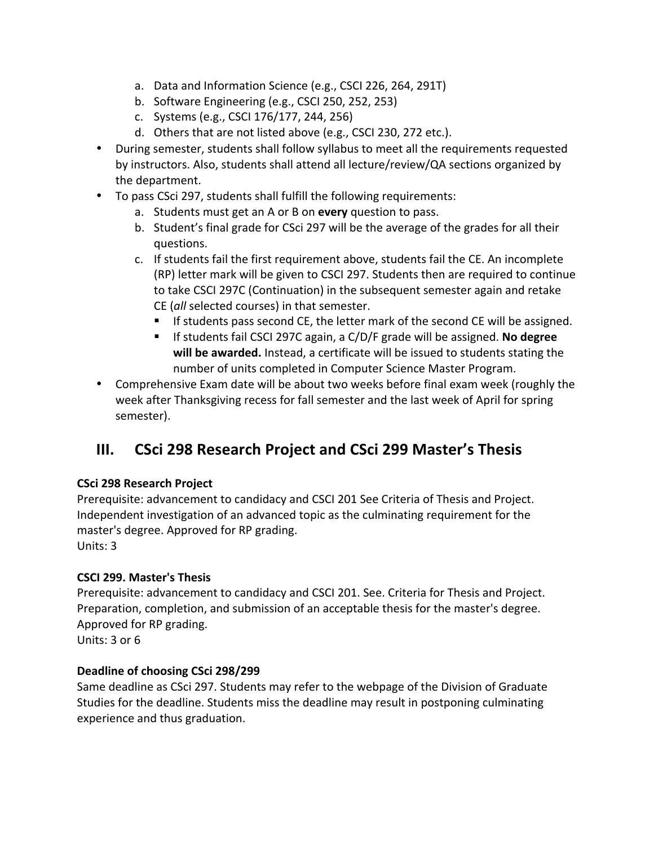- a. Data and Information Science (e.g., CSCI 226, 264, 291T)
- b. Software Engineering (e.g., CSCI 250, 252, 253)
- c. Systems (e.g., CSCI 176/177, 244, 256)
- d. Others that are not listed above (e.g., CSCI 230, 272 etc.).
- During semester, students shall follow syllabus to meet all the requirements requested by instructors. Also, students shall attend all lecture/review/QA sections organized by the department.
- To pass CSci 297, students shall fulfill the following requirements:
	- a. Students must get an A or B on every question to pass.
	- b. Student's final grade for CSci 297 will be the average of the grades for all their questions.
	- c. If students fail the first requirement above, students fail the CE. An incomplete (RP) letter mark will be given to CSCI 297. Students then are required to continue to take CSCI 297C (Continuation) in the subsequent semester again and retake CE (all selected courses) in that semester.
		- If students pass second CE, the letter mark of the second CE will be assigned.
		- If students fail CSCI 297C again, a C/D/F grade will be assigned. No degree will be awarded. Instead, a certificate will be issued to students stating the number of units completed in Computer Science Master Program.
- Comprehensive Exam date will be about two weeks before final exam week (roughly the week after Thanksgiving recess for fall semester and the last week of April for spring semester).

## **III.** CSci 298 Research Project and CSci 299 Master's Thesis

#### **CSci 298 Research Project**

Prerequisite: advancement to candidacy and CSCI 201 See Criteria of Thesis and Project. Independent investigation of an advanced topic as the culminating requirement for the master's degree. Approved for RP grading. Units: 3

### **CSCI 299. Master's Thesis**

Prerequisite: advancement to candidacy and CSCI 201. See. Criteria for Thesis and Project. Preparation, completion, and submission of an acceptable thesis for the master's degree. Approved for RP grading.

Units: 3 or 6

#### **Deadline of choosing CSci 298/299**

Same deadline as CSci 297. Students may refer to the webpage of the Division of Graduate Studies for the deadline. Students miss the deadline may result in postponing culminating experience and thus graduation.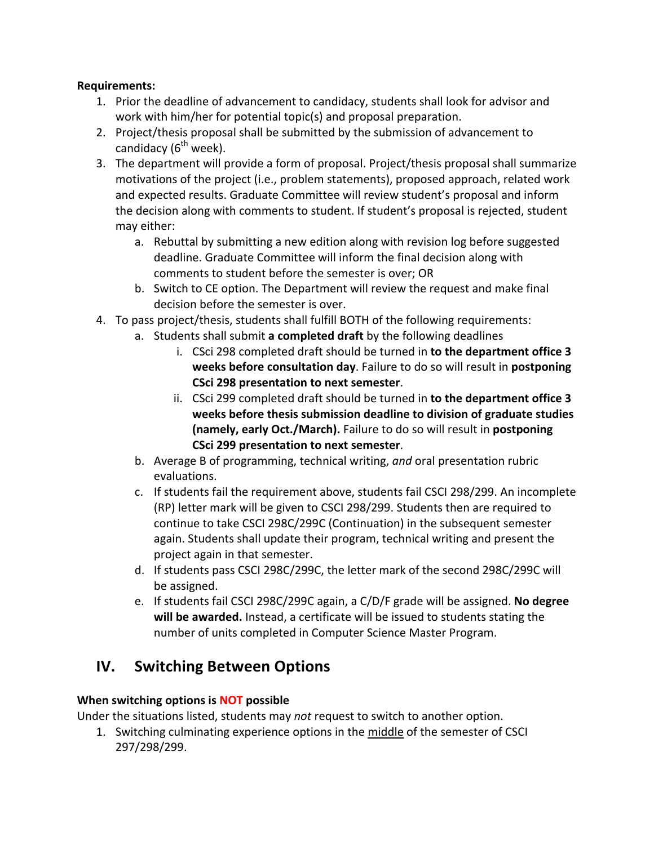#### **Requirements:**

- 1. Prior the deadline of advancement to candidacy, students shall look for advisor and work with him/her for potential topic(s) and proposal preparation.
- 2. Project/thesis proposal shall be submitted by the submission of advancement to candidacy  $(6^{th}$  week).
- 3. The department will provide a form of proposal. Project/thesis proposal shall summarize motivations of the project (i.e., problem statements), proposed approach, related work and expected results. Graduate Committee will review student's proposal and inform the decision along with comments to student. If student's proposal is rejected, student may either:
	- a. Rebuttal by submitting a new edition along with revision log before suggested deadline. Graduate Committee will inform the final decision along with comments to student before the semester is over; OR
	- b. Switch to CE option. The Department will review the request and make final decision before the semester is over.
- 4. To pass project/thesis, students shall fulfill BOTH of the following requirements:
	- a. Students shall submit a completed draft by the following deadlines
		- i. CSci 298 completed draft should be turned in to the department office 3 **weeks before consultation day**. Failure to do so will result in **postponing CSci 298 presentation to next semester**.
		- ii. CSci 299 completed draft should be turned in **to the department office 3** weeks before thesis submission deadline to division of graduate studies **(namely, early Oct./March).** Failure to do so will result in **postponing CSci 299 presentation to next semester.**
	- b. Average B of programming, technical writing, and oral presentation rubric evaluations.
	- c. If students fail the requirement above, students fail CSCI 298/299. An incomplete (RP) letter mark will be given to CSCI 298/299. Students then are required to continue to take CSCI 298C/299C (Continuation) in the subsequent semester again. Students shall update their program, technical writing and present the project again in that semester.
	- d. If students pass CSCI 298C/299C, the letter mark of the second 298C/299C will be assigned.
	- e. If students fail CSCI 298C/299C again, a C/D/F grade will be assigned. **No degree** will be awarded. Instead, a certificate will be issued to students stating the number of units completed in Computer Science Master Program.

## **IV. Switching Between Options**

### **When switching options is NOT possible**

Under the situations listed, students may *not* request to switch to another option.

1. Switching culminating experience options in the middle of the semester of CSCI 297/298/299.